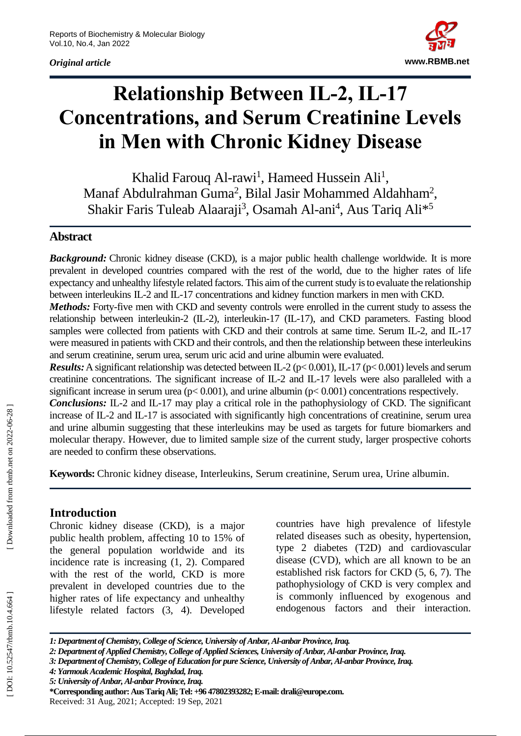*Original article*



# **Relationship Between IL -2, IL -17 Concentrations, and Serum Creatinine Levels in Men with Chronic Kidney Disease**

Khalid Farouq Al-rawi<sup>1</sup>, Hameed Hussein Ali<sup>1</sup>, Manaf Abdulrahman Guma<sup>2</sup>, Bilal Jasir Mohammed Aldahham<sup>2</sup>, Shakir Faris Tuleab Alaaraji<sup>3</sup>, Osamah Al-ani<sup>4</sup>, Aus Tariq Ali<sup>\*5</sup>

#### **Abstract**

**Background:** Chronic kidney disease (CKD), is a major public health challenge worldwide. It is more prevalent in developed countries compared with the rest of the world, due to the higher rates of life expectancy and unhealthy lifestyle related factors. This aim of the current study is to evaluate the relationship between interleukins IL -2 and IL -17 concentrations and kidney function markers in men with CKD.

Methods: Forty-five men with CKD and seventy controls were enrolled in the current study to assess the relationship between interleukin-2 (IL-2), interleukin-17 (IL-17), and CKD parameters. Fasting blood samples were collected from patients with CKD and their controls at same time. Serum IL-2, and IL-17 were measured in patients with CKD and their controls, and then the relationship between these interleukins and serum creatinine, serum urea, serum uric acid and urine albumin were evaluated.

**Results:** A significant relationship was detected between IL-2 ( $p$ < 0.001), IL-17 ( $p$ < 0.001) levels and serum creatinine concentrations. The significant increase of IL -2 and IL -17 levels were also paralleled with a significant increase in serum urea ( $p$ < 0.001), and urine albumin ( $p$ < 0.001) concentrations respectively.

**Conclusions:** IL-2 and IL-17 may play a critical role in the pathophysiology of CKD. The significant increase of IL -2 and IL -17 is associated with significantly high concentrations of creatinine, serum urea and urine albumin suggesting that these interleukins may be used as targets for future biomarkers and molecular therapy. However, due to limited sample size of the current study, larger prospective cohorts are needed to confirm these observations.

Keywords: Chronic kidney disease, Interleukins, Serum creatinine, Serum urea, Urine albumin.

#### **Introduction**

Chronic kidney disease (CKD), is a major public health problem, affecting 10 to 15% of the general population worldwide and its incidence rate is increasing (1, 2). Compared with the rest of the world, CKD is more prevalent in developed countries due to the higher rates of life expectancy and unhealthy lifestyle related factors (3, 4). Developed

countries have high prevalence of lifestyle related diseases such as obesity, hypertension, type 2 diabetes (T2D) and cardiovascular disease (CVD), which are all known to be an established risk factors for CKD (5, 6, 7). The pathophysiology of CKD is very complex and is commonly influenced by exogenous and endogenous factors and their interaction.

*<sup>1:</sup> Department of Chemistry, College of Science, University of Anbar, Al-anbar Province, Iraq.*

*<sup>2:</sup> Department of Applied Chemistry, College of Applied Sciences, University of Anbar, Al-anbar Province, Iraq.*

*<sup>3:</sup> Department of Chemistry, College of Education for pure Science, University of Anbar, Al-anbar Province, Iraq.* 

*<sup>4:</sup> Yarmouk Academic Hospital, Baghdad, Iraq.* 

*<sup>5:</sup> University of Anbar, Al-anbar Province, Iraq.*

**<sup>\*</sup>Corresponding author: Aus Tariq Ali; Tel: +96 47802393282; E -mail: drali@europe.com .** Received: 31 Aug, 2021; Accepted: 19 Sep, 2021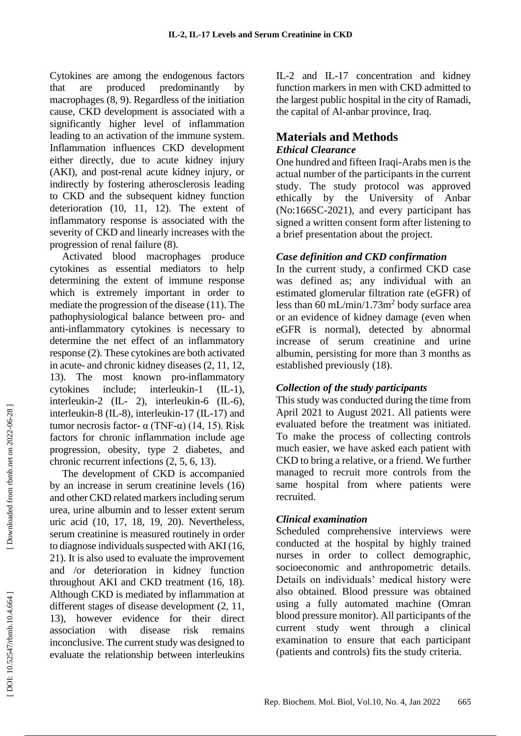Cytokines are among the endogenous factors that are produced predominantly by macrophages (8, 9). Regardless of the initiation cause, CKD development is associated with a significantly higher level of inflammation leading to an activation of the immune system. Inflammation influences CKD development either directly, due to acute kidney injury (AKI), and post -renal acute kidney injury, or indirectly by fostering atherosclerosis leading to CKD and the subsequent kidney function deterioration (10, 11, 12). The extent of inflammatory response is associated with the severity of CKD and linearly increases with the progression of renal failure (8).

Activated blood macrophages produce cytokines as essential mediators to help determining the extent of immune response which is extremely important in order to mediate the progression of the disease (11). The pathophysiological balance between pro - and anti -inflammatory cytokines is necessary to determine the net effect of an inflammatory response (2). These cytokines are both activated in acute - and chronic kidney diseases (2, 11, 12, 13). The most known pro -inflammatory cytokines include; interleukin  $-1$  (IL-1), interleukin -2 (IL - 2), interleukin -6 (IL -6), interleukin -8 (IL -8), interleukin -17 (IL -17) and tumor necrosis factor- α (TNF-α) (14, 15). Risk factors for chronic inflammation include age progression, obesity, type 2 diabetes, and chronic recurrent infections (2, 5, 6, 13).

The development of CKD is accompanied by an increase in serum creatinine levels (16) and other CKD related markers including serum urea, urine albumin and to lesser extent serum uric acid (10, 17, 18, 19, 20). Nevertheless, serum creatinine is measured routinely in order to diagnose individuals suspected with AKI (16, 21). It is also used to evaluate the improvement and /or deterioration in kidney function throughout AKI and CKD treatment (16, 18). Although CKD is mediated by inflammation at different stages of disease development (2, 11, 13), however evidence for their direct association with disease risk remains inconclusive. The current study was designed to evaluate the relationship between interleukins

IL -2 and IL -17 concentration and kidney function markers in men with CKD admitted to the largest public hospital in the city of Ramadi, the capital of Al -anbar province, Iraq.

#### **Materials and Methods** *Ethical Clearance*

One hundred and fifteen Iraqi -Arabs men is the actual number of the participants in the current study. The study protocol was approved ethically by the University of Anbar (No:166SC -2021), and every participant has signed a written consent form after listening to a brief presentation about the project.

#### *Case definition and CKD confirmation*

In the current study, a confirmed CKD case was defined as; any individual with an estimated glomerular filtration rate (eGFR) of less than 60 mL/min/1.73m 2 body surface area or an evidence of kidney damage (even when eGFR is normal), detected by abnormal increase of serum creatinine and urine albumin, persisting for more than 3 months as established previously (18).

# *Collection of the study participants*

This study was conducted during the time from April 2021 to August 2021. All patients were evaluated before the treatment was initiated. To make the process of collecting controls much easier, we have asked each patient with CKD to bring a relative, or a friend. We further managed to recruit more controls from the same hospital from where patients were recruited.

# *Clinical examination*

Scheduled comprehensive interviews were conducted at the hospital by highly trained nurses in order to collect demographic, socioeconomic and anthropometric details. Details on individuals' medical history were also obtained. Blood pressure was obtained using a fully automated machine (Omran blood pressure monitor). All participants of the current study went through a clinical examination to ensure that each participant (patients and controls) fits the study criteria.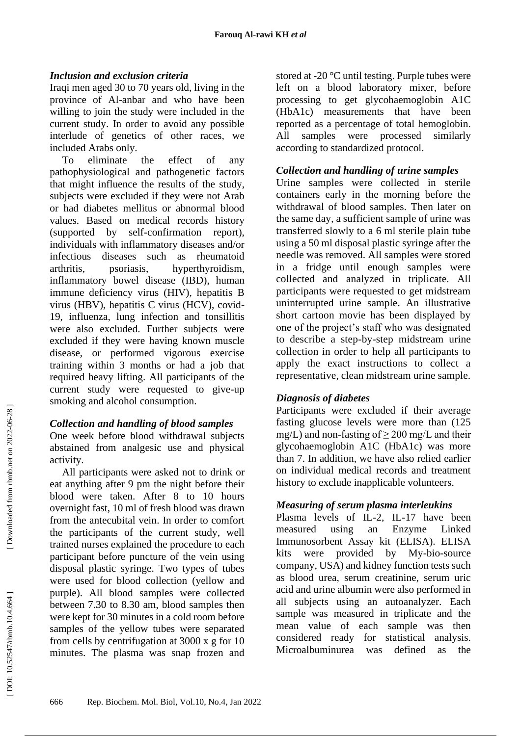### *Inclusion and exclusion criteria*

Iraqi men aged 30 to 70 years old, living in the province of Al -anbar and who have been willing to join the study were included in the current study. In order to avoid any possible interlude of genetics of other races, we included Arabs only.

To eliminate the effect of any pathophysiological and pathogenetic factors that might influence the results of the study, subjects were excluded if they were not Arab or had diabetes mellitus or abnormal blood values. Based on medical records history (supported by self-confirmation report), individuals with inflammatory diseases and/or infectious diseases such as rheumatoid arthritis, psoriasis, hyperthyroidism, inflammatory bowel disease (IBD), human immune deficiency virus (HIV), hepatitis B virus (HBV), hepatitis C virus (HCV), covid - 19, influenza, lung infection and tonsillitis were also excluded. Further subjects were excluded if they were having known muscle disease, or performed vigorous exercise training within 3 months or had a job that required heavy lifting. All participants of the current study were requested to give -up smoking and alcohol consumption.

#### *Collection and handling of blood samples*

One week before blood withdrawal subjects abstained from analgesic use and physical activity.

All participants were asked not to drink or eat anything after 9 pm the night before their blood were taken. After 8 to 10 hours overnight fast, 10 ml of fresh blood was drawn from the antecubital vein. In order to comfort the participants of the current study, well trained nurses explained the procedure to each participant before puncture of the vein using disposal plastic syringe. Two types of tubes were used for blood collection (yellow and purple). All blood samples were collected between 7.30 to 8.30 am, blood samples then were kept for 30 minutes in a cold room before samples of the yellow tubes were separated from cells by centrifugation at 3000 x g for 10 minutes. The plasma was snap frozen and

stored at -20 °C until testing. Purple tubes were left on a blood laboratory mixer, before processing to get glycohaemoglobin A1C (HbA1c) measurements that have been reported as a percentage of total hemoglobin. All samples were processed similarly according to standardized protocol.

#### *Collection and handling of urine samples*

Urine samples were collected in sterile containers early in the morning before the withdrawal of blood samples. Then later on the same day, a sufficient sample of urine was transferred slowly to a 6 ml sterile plain tube using a 50 ml disposal plastic syringe after the needle was removed. All samples were stored in a fridge until enough samples were collected and analyzed in triplicate. All participants were requested to get midstream uninterrupted urine sample. An illustrative short cartoon movie has been displayed by one of the project's staff who was designated to describe a step -by -step midstream urine collection in order to help all participants to apply the exact instructions to collect a representative, clean midstream urine sample.

#### *Diagnosis of diabetes*

Participants were excluded if their average fasting glucose levels were more than (125 mg/L) and non-fasting of  $\geq$  200 mg/L and their glycohaemoglobin A1C (HbA1c) was more than 7. In addition, we have also relied earlier on individual medical records and treatment history to exclude inapplicable volunteers.

# *Measuring of serum plasma interleukins*

Plasma levels of IL-2, IL-17 have been measured using an Enzyme Linked Immunosorbent Assay kit (ELISA). ELISA kits were provided by -bio -source company, USA) and kidney function tests such as blood urea, serum creatinine, serum uric acid and urine albumin were also performed in all subjects using an autoanalyzer. Each sample was measured in triplicate and the mean value of each sample was then considered ready for statistical analysis. Microalbuminurea was defined as the

Downloaded from rbmb.net on 2022-06-28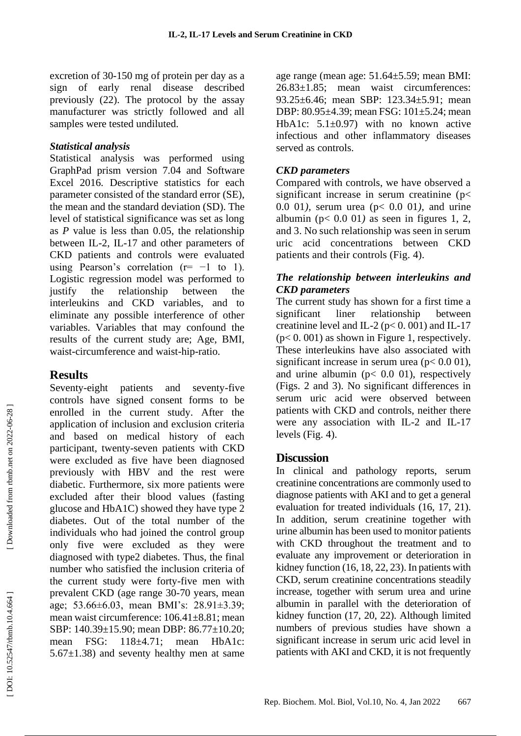excretion of 30 -150 mg of protein per day as a sign of early renal disease described previously (22). The protocol by the assay manufacturer was strictly followed and all samples were tested undiluted.

#### *Statistical analysis*

Statistical analysis was performed using GraphPad prism version 7.04 and Software Excel 2016. Descriptive statistics for each parameter consisted of the standard error (SE), the mean and the standard deviation (SD). The level of statistical significance was set as long as *P* value is less than 0.05, the relationship between IL -2, IL -17 and other parameters of CKD patients and controls were evaluated using Pearson's correlation ( $r=-1$  to 1). Logistic regression model was performed to justify the relationship between the interleukins and CKD variables, and to eliminate any possible interference of other variables. Variables that may confound the results of the current study are; Age, BMI, waist -circumference and waist -hip -ratio.

# **Results**

Seventy -eight patients and seventy -five controls have signed consent forms to be enrolled in the current study. After the application of inclusion and exclusion criteria and based on medical history of each participant, twenty -seven patients with CKD were excluded as five have been diagnosed previously with HBV and the rest were diabetic. Furthermore, six more patients were excluded after their blood values (fasting glucose and HbA1C) showed they have type 2 diabetes. Out of the total number of the individuals who had joined the control group only five were excluded as they were diagnosed with type2 diabetes. Thus, the final number who satisfied the inclusion criteria of the current study were forty -five men with prevalent CKD (age range 30 -70 years, mean age; 53.66±6.03, mean BMI's: 28.91±3.39; mean waist circumference: 106.41±8.81; mean SBP: 140.39±15.90; mean DBP: 86.77±10.20; mean FSG: 118±4.71; mean HbA1c:  $5.67\pm1.38$ ) and seventy healthy men at same

age range (mean age: 51.64±5.59; mean BMI: 26.83±1.85; mean waist circumferences: 93.25±6.46; mean SBP: 123.34±5.91; mean DBP: 80.95±4.39; mean FSG: 101±5.24; mean HbA1c: 5.1±0.97) with no known active infectious and other inflammatory diseases served as controls.

#### *CKD parameters*

Compared with controls, we have observed a significant increase in serum creatinine ( p < 0.0 01*),* serum urea ( p < 0.0 01*),* and urine albumin ( $p < 0.0$  01) as seen in figures 1, 2, and 3. No such relationship was seen in serum uric acid concentrations between CKD patients and their controls (Fig. 4).

### *The relationship between interleukins and CKD parameters*

The current study has shown for a first time a significant liner relationship between creatinine level and IL-2 ( $p < 0.001$ ) and IL-17 ( p < 0. 001) as shown in Figure 1, respectively. These interleukins have also associated with significant increase in serum urea ( $p < 0.001$ ), and urine albumin (p< 0.0 01), respectively (Figs. 2 and 3). No significant differences in serum uric acid were observed between patients with CKD and controls, neither there were any association with IL-2 and IL-17 levels (Fig. 4).

# **Discussion**

In clinical and pathology reports, serum creatinine concentrations are commonly used to diagnose patients with AKI and to get a general evaluation for treated individuals (16, 17, 21). In addition, serum creatinine together with urine albumin has been used to monitor patients with CKD throughout the treatment and to evaluate any improvement or deterioration in kidney function (16, 18, 22, 23). In patients with CKD, serum creatinine concentrations steadily increase, together with serum urea and urine albumin in parallel with the deterioration of kidney function (17, 20, 22). Although limited numbers of previous studies have shown a significant increase in serum uric acid level in patients with AKI and CKD, it is not frequently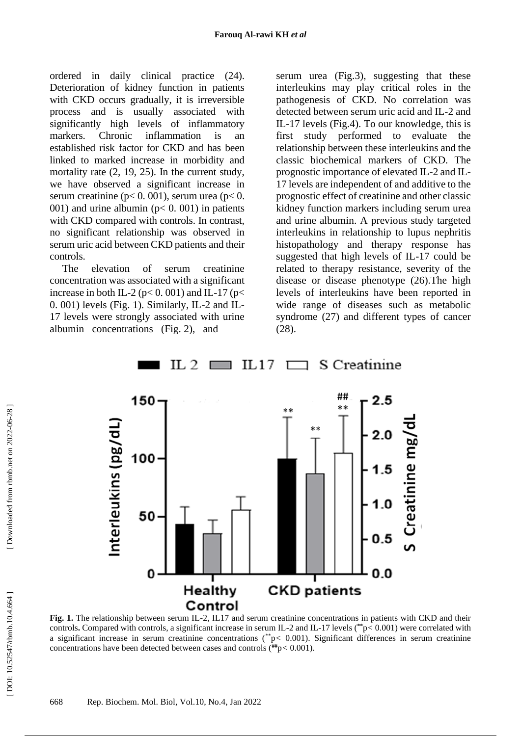ordered in daily clinical practice (24). Deterioration of kidney function in patients with CKD occurs gradually, it is irreversible process and is usually associated with significantly high levels of inflammatory markers. Chronic inflammation is an established risk factor for CKD and has been linked to marked increase in morbidity and mortality rate (2, 19, 25). In the current study, we have observed a significant increase in serum creatinine ( $p < 0$ . 001), serum urea ( $p < 0$ . 001) and urine albumin ( $p < 0$ . 001) in patients with CKD compared with controls. In contrast, no significant relationship was observed in serum uric acid between CKD patients and their controls.

The elevation of serum creatinine concentration was associated with a significant increase in both IL-2 ( $p$ < 0.001) and IL-17 ( $p$ < 0. 001) levels (Fig. 1). Similarly, IL -2 and IL - 17 levels were strongly associated with urine albumin concentrations (Fig. 2), and

serum urea (Fig.3), suggesting that these interleukins may play critical roles in the pathogenesis of CKD. No correlation was detected between serum uric acid and IL -2 and IL -17 levels (Fig.4). To our knowledge, this is first study performed to evaluate the relationship between these interleukins and the classic biochemical markers of CKD. The prognostic importance of elevated IL -2 and IL - 17 levels are independent of and additive to the prognostic effect of creatinine and other classic kidney function markers including serum urea and urine albumin. A previous study targeted interleukins in relationship to lupus nephritis histopathology and therapy response has suggested that high levels of IL -17 could be related to therapy resistance, severity of the disease or disease phenotype (26).The high levels of interleukins have been reported in wide range of diseases such as metabolic syndrome (27) and different types of cancer (28).



#### IL 2  $IL17$ S Creatinine  $\Box$

Fig. 1. The relationship between serum IL-2, IL17 and serum creatinine concentrations in patients with CKD and their controls**.** Compared with controls, a significant increase in serum IL -2 and IL -17 levels (**\*\*** p *<* 0.001) were correlated with a significant increase in serum creatinine concentrations (\*p< 0.001). Significant differences in serum creatinine concentrations have been detected between cases and controls (**##** p *<* 0.001).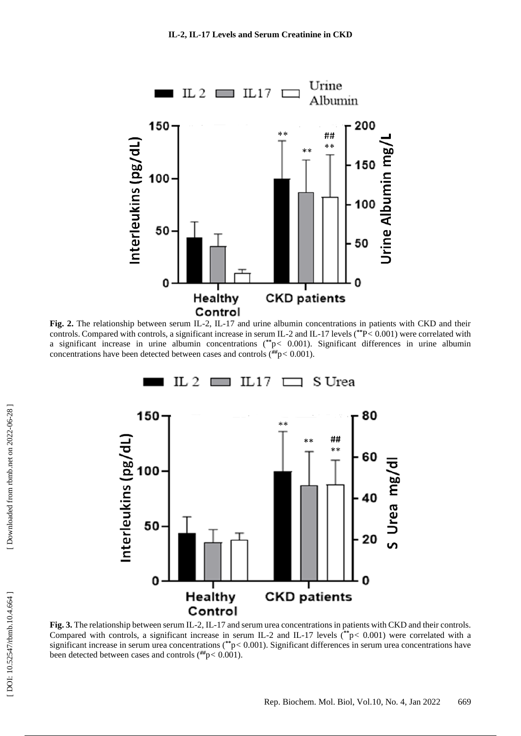

**Fig. 2.** The relationship between serum IL -2, IL -17 and urine albumin concentrations in patients with CKD and their controls. Compared with controls, a significant increase in serum IL -2 and IL -17 levels (**\*\*** P *<* 0.001) were correlated with a significant increase in urine albumin concentrations (**\*\*** p *<* 0.001). Significant differences in urine albumin concentrations have been detected between cases and controls (*##*p *<* 0.001).



Fig. 3. The relationship between serum IL-2, IL-17 and serum urea concentrations in patients with CKD and their controls. Compared with controls, a significant increase in serum IL-2 and IL-17 levels (\*\*p< 0.001) were correlated with a significant increase in serum urea concentrations (\*\*p< 0.001). Significant differences in serum urea concentrations have been detected between cases and controls (*##*p *<* 0.001).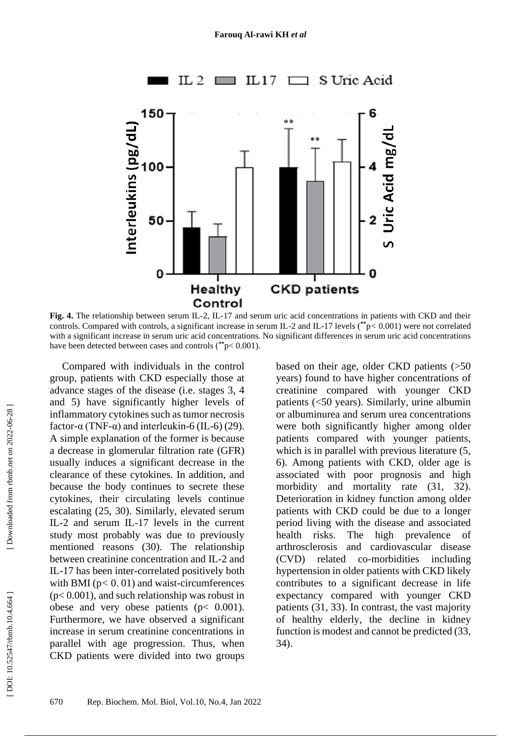

Fig. 4. The relationship between serum IL-2, IL-17 and serum uric acid concentrations in patients with CKD and their controls. Compared with controls, a significant increase in serum IL -2 and IL -17 levels (**\*\*** p *<* 0.001) were not correlated with a significant increase in serum uric acid concentrations. No significant differences in serum uric acid concentrations have been detected between cases and controls (**\*\*** p < 0.001).

Compared with individuals in the control group, patients with CKD especially those at advance stages of the disease (i.e. stages 3, 4 and 5) have significantly higher levels of inflammatory cytokines such as tumor necrosis factor- $\alpha$  (TNF- $\alpha$ ) and interleukin-6 (IL-6) (29). A simple explanation of the former is because a decrease in glomerular filtration rate (GFR) usually induces a significant decrease in the clearance of these cytokines. In addition, and because the body continues to secrete these cytokines, their circulating levels continue escalating (25, 30). Similarly, elevated serum IL -2 and serum IL -17 levels in the current study most probably was due to previously mentioned reasons (30). The relationship between creatinine concentration and IL -2 and IL -17 has been inter -correlated positively both with BMI  $(p < 0.01)$  and waist-circumferences ( p < 0.001), and such relationship was robust in obese and very obese patients  $(p < 0.001)$ . Furthermore, we have observed a significant increase in serum creatinine concentrations in parallel with age progression. Thus, when CKD patients were divided into two groups

based on their age, older CKD patients (>50 years) found to have higher concentrations of creatinine compared with younger CKD patients (<50 years). Similarly, urine albumin or albuminurea and serum urea concentrations were both significantly higher among older patients compared with younger patients, which is in parallel with previous literature  $(5, 1)$ 6). Among patients with CKD, older age is associated with poor prognosis and high morbidity and mortality rate (31, 32). Deterioration in kidney function among older patients with CKD could be due to a longer period living with the disease and associated health risks. The high prevalence of arthrosclerosis and cardiovascular disease  $(CVD)$  related -morbidities including hypertension in older patients with CKD likely contributes to a significant decrease in life expectancy compared with younger CKD patients (31, 33). In contrast, the vast majority of healthy elderly, the decline in kidney function is modest and cannot be predicted (33, 34).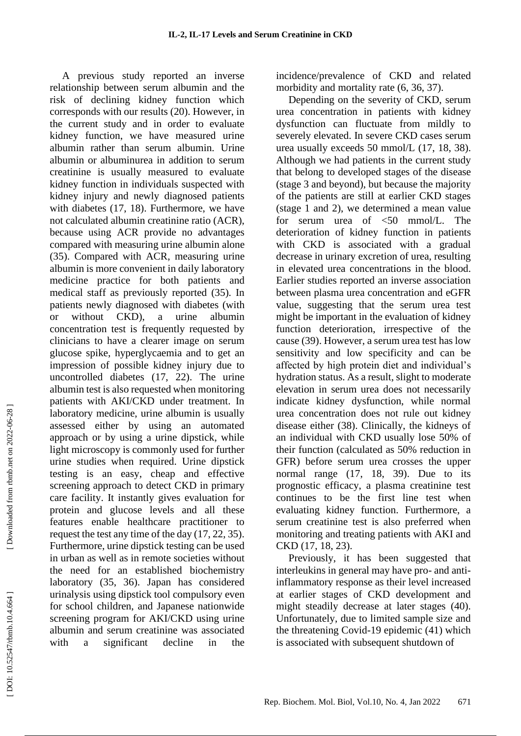A previous study reported an inverse relationship between serum albumin and the risk of declining kidney function which corresponds with our results (20). However, in the current study and in order to evaluate kidney function, we have measured urine albumin rather than serum albumin. Urine albumin or albuminurea in addition to serum creatinine is usually measured to evaluate kidney function in individuals suspected with kidney injury and newly diagnosed patients with diabetes (17, 18). Furthermore, we have not calculated albumin creatinine ratio (ACR), because using ACR provide no advantages compared with measuring urine albumin alone (35). Compared with ACR, measuring urine albumin is more convenient in daily laboratory medicine practice for both patients and medical staff as previously reported (35). In patients newly diagnosed with diabetes (with or without CKD), a urine albumin concentration test is frequently requested by clinicians to have a clearer image on serum glucose spike, hyperglycaemia and to get an impression of possible kidney injury due to uncontrolled diabetes (17, 22). The urine albumin test is also requested when monitoring patients with AKI/CKD under treatment. In laboratory medicine, urine albumin is usually assessed either by using an automated approach or by using a urine dipstick, while light microscopy is commonly used for further urine studies when required. Urine dipstick testing is an easy, cheap and effective screening approach to detect CKD in primary care facility. It instantly gives evaluation for protein and glucose levels and all these features enable healthcare practitioner to request the test any time of the day (17, 22, 35). Furthermore, urine dipstick testing can be used in urban as well as in remote societies without the need for an established biochemistry laboratory (35, 36). Japan has considered urinalysis using dipstick tool compulsory even for school children, and Japanese nationwide screening program for AKI/CKD using urine albumin and serum creatinine was associated with a significant decline in the

incidence/prevalence of CKD and related morbidity and mortality rate  $(6, 36, 37)$ .

Depending on the severity of CKD, serum urea concentration in patients with kidney dysfunction can fluctuate from mildly to severely elevated. In severe CKD cases serum urea usually exceeds 50 mmol/L (17, 18, 38). Although we had patients in the current study that belong to developed stages of the disease (stage 3 and beyond), but because the majority of the patients are still at earlier CKD stages (stage 1 and 2), we determined a mean value for serum urea of <50 mmol/L. The deterioration of kidney function in patients with CKD is associated with a gradual decrease in urinary excretion of urea, resulting in elevated urea concentrations in the blood. Earlier studies reported an inverse association between plasma urea concentration and eGFR value, suggesting that the serum urea test might be important in the evaluation of kidney function deterioration, irrespective of the cause (39). However, a serum urea test has low sensitivity and low specificity and can be affected by high protein diet and individual's hydration status. As a result, slight to moderate elevation in serum urea does not necessarily indicate kidney dysfunction, while normal urea concentration does not rule out kidney disease either (38). Clinically, the kidneys of an individual with CKD usually lose 50% of their function (calculated as 50% reduction in GFR) before serum urea crosses the upper normal range (17, 18, 39). Due to its prognostic efficacy, a plasma creatinine test continues to be the first line test when evaluating kidney function. Furthermore, a serum creatinine test is also preferred when monitoring and treating patients with AKI and CKD (17, 18, 23).

Previously, it has been suggested that interleukins in general may have pro- and antiinflammatory response as their level increased at earlier stages of CKD development and might steadily decrease at later stages (40). Unfortunately, due to limited sample size and the threatening Covid -19 epidemic (41) which is associated with subsequent shutdown of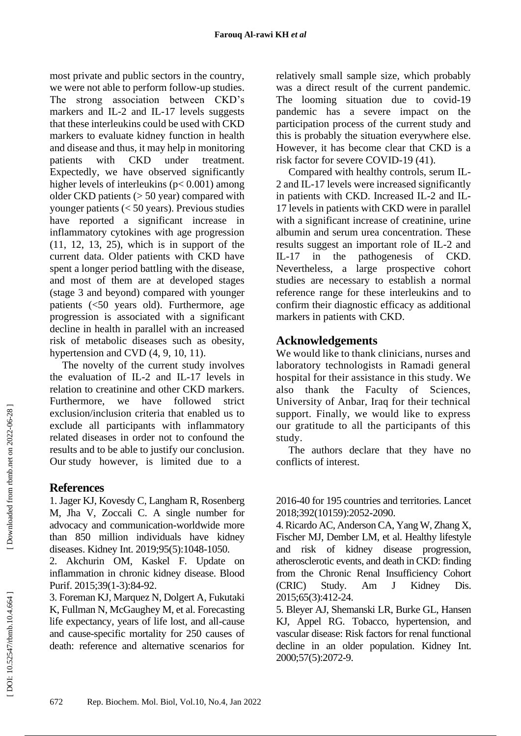most private and public sectors in the country, we were not able to perform follow -up studies. The strong association between CKD's markers and IL-2 and IL-17 levels suggests that these interleukins could be used with CKD markers to evaluate kidney function in health and disease and thus, it may help in monitoring patients with CKD under treatment. Expectedly, we have observed significantly higher levels of interleukins ( p < 0.001) among older CKD patients (> 50 year) compared with younger patients (< 50 years). Previous studies have reported a significant increase in inflammatory cytokines with age progression (11, 12, 13, 25), which is in support of the current data. Older patients with CKD have spent a longer period battling with the disease, and most of them are at developed stages (stage 3 and beyond) compared with younger patients (<50 years old). Furthermore, age progression is associated with a significant decline in health in parallel with an increased risk of metabolic diseases such as obesity, hypertension and CVD  $(4, 9, 10, 11)$ .

The novelty of the current study involves the evaluation of IL -2 and IL -17 levels in relation to creatinine and other CKD markers. Furthermore, we have followed strict exclusion/inclusion criteria that enabled us to exclude all participants with inflammatory related diseases in order not to confound the results and to be able to justify our conclusion. Our study however, is limited due to a

# **References**

1. Jager KJ, Kovesdy C, Langham R, Rosenberg M, Jha V, Zoccali C. A single number for advocacy and communication -worldwide more than 850 million individuals have kidney diseases. Kidney Int. 2019;95(5) :1048 -1050 .

2. Akchurin OM, Kaskel F. Update on inflammation in chronic kidney disease. Blood Purif. 2015;39(1-3):84-92.

3. Foreman KJ, Marquez N, Dolgert A, Fukutaki K, Fullman N, McGaughey M, et al. Forecasting life expectancy, years of life lost, and all -cause and cause -specific mortality for 250 causes of death: reference and alternative scenarios for

relatively small sample size, which probably was a direct result of the current pandemic. The looming situation due to covid -19 pandemic has a severe impact on the participation process of the current study and this is probably the situation everywhere else. However, it has become clear that CKD is a risk factor for severe COVID -19 (41).

Compared with healthy controls, serum IL - 2 and IL -17 levels were increased significantly in patients with CKD. Increased IL -2 and IL - 17 levels in patients with CKD were in parallel with a significant increase of creatinine, urine albumin and serum urea concentration. These results suggest an important role of IL -2 and  $IL-17$ in the pathogenesis of CKD. Nevertheless, a large prospective cohort studies are necessary to establish a normal reference range for these interleukins and to confirm their diagnostic efficacy as additional markers in patients with CKD.

# **Acknowledgements**

We would like to thank clinicians, nurses and laboratory technologists in Ramadi general hospital for their assistance in this study. We also thank the Faculty of Sciences, University of Anbar, Iraq for their technical support. Finally, we would like to express our gratitude to all the participants of this study.

The authors declare that they have no conflicts of interest.

2016 -40 for 195 countries and territories. Lancet 2018;392(10159):2052 -2090.

4. Ricardo AC, Anderson CA, Yang W, Zhang X, Fischer MJ, Dember LM, et al. Healthy lifestyle and risk of kidney disease progression, atherosclerotic events, and death in CKD: finding from the Chronic Renal Insufficiency Cohort  $(CRIC)$  Study. Am J Kidney Dis. 2015;65(3):412 -24.

5. Bleyer AJ, Shemanski LR, Burke GL, Hansen KJ, Appel RG. Tobacco, hypertension, and vascular disease: Risk factors for renal functional decline in an older population. Kidney Int. 2000;57(5):2072 -9.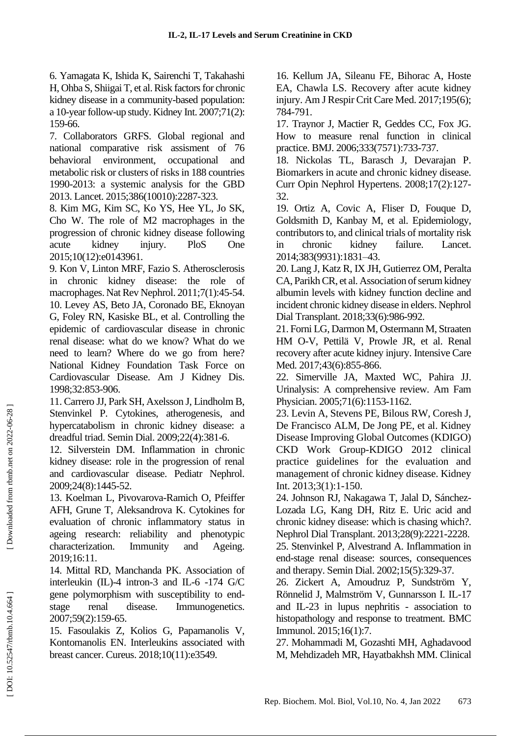6. Yamagata K, Ishida K, Sairenchi T, Takahashi H, Ohba S, Shiigai T, et al. Risk factors for chronic kidney disease in a community -based population: a 10 -year follow -up study. Kidney Int. 2007;71(2): 159 -66.

7. Collaborators GRFS. Global regional and national comparative risk assisment of 76 behavioral environment, occupational and metabolic risk or clusters of risks in 188 countries 1990 -2013: a systemic analysis for the GBD 2013. Lancet. 2015;386(10010):2287 -323.

8. Kim MG, Kim SC, Ko YS, Hee YL, Jo SK, Cho W. The role of M2 macrophages in the progression of chronic kidney disease following acute kidney injury. PloS One 2015;10(12):e0143961.

9. Kon V, Linton MRF, Fazio S. Atherosclerosis in chronic kidney disease: the role of macrophages. Nat Rev Nephrol . 2011;7(1):45 -54. 10. Levey AS, Beto JA, Coronado BE, Eknoyan G, Foley RN, Kasiske BL, et al. Controlling the epidemic of cardiovascular disease in chronic renal disease: what do we know? What do we need to learn? Where do we go from here? National Kidney Foundation Task Force on Cardiovascular Disease. Am J Kidney Dis . 1998;32:853 -906.

11. Carrero JJ, Park SH, Axelsson J, Lindholm B, Stenvinkel P. Cytokines, atherogenesis, and hypercatabolism in chronic kidney disease: a dreadful triad. Semin Dial . 2009 ;22(4):381 -6.

12. Silverstein DM. Inflammation in chronic kidney disease: role in the progression of renal and cardiovascular disease. Pediatr Nephrol . 2009 ;24(8):1445 -52.

13. Koelman L, Pivovarova -Ramich O, Pfeiffer AFH, Grune T, Aleksandrova K. Cytokines for evaluation of chronic inflammatory status in ageing research: reliability and phenotypic characterization. Immunity and Ageing. 2019;16:11.

14. Mittal RD, Manchanda PK. Association of interleukin (IL) -4 intron -3 and IL -6 -174 G/C gene polymorphism with susceptibility to end stage renal disease. Immunogenetics. 2007;59(2):159 -65.

15. Fasoulakis Z, Kolios G, Papamanolis V, Kontomanolis EN. Interleukins associated with breast cancer. Cureus . 2018;10(11):e3549.

16. Kellum JA, Sileanu FE, Bihorac A, Hoste EA, Chawla LS. Recovery after acute kidney injury. Am J Respir Crit Care Med. 2017;195(6); 784 -791.

17. Traynor J, Mactier R, Geddes CC, Fox JG. How to measure renal function in clinical practice. BMJ . 2006;333(7571):733 -737.

18. Nickolas TL, Barasch J, Devarajan P. Biomarkers in acute and chronic kidney disease. Curr Opin Nephrol Hypertens . 2008;17(2):127 - 32.

19. Ortiz A, Covic A, Fliser D, Fouque D, Goldsmith D, Kanbay M, et al. Epidemiology, contributors to, and clinical trials of mortality risk in chronic kidney failure. Lancet. 2014;383(9931):1831 –43.

20. Lang J, Katz R, IX JH, Gutierrez OM, Peralta CA, Parikh CR, et al. Association of serum kidney albumin levels with kidney function decline and incident chronic kidney disease in elders. Nephrol Dial Transplant. 2018;33(6):986 -992.

21. Forni LG, Darmon M, Ostermann M, Straaten HM O -V, Pettilä V, Prowle JR, et al. Renal recovery after acute kidney injury. Intensive Care Med. 2017;43(6):855-866.

22. Simerville JA, Maxted WC, Pahira JJ. Urinalysis: A comprehensive review. Am Fam Physician. 2005;71(6):1153-1162.

23. Levin A, Stevens PE, Bilous RW, Coresh J, De Francisco ALM, De Jong PE, et al. Kidney Disease Improving Global Outcomes (KDIGO) CKD Work Group -KDIGO 2012 clinical practice guidelines for the evaluation and management of chronic kidney disease. Kidney Int. 2013;3( 1):1 -150.

24. Johnson RJ, Nakagawa T, Jalal D, Sánchez - Lozada LG, Kang DH, Ritz E. Uric acid and chronic kidney disease: which is chasing which? . Nephrol Dial Transplant . 2013;28(9):2221 -2228.

25. Stenvinkel P, Alvestrand A. Inflammation in end -stage renal disease: sources, consequences and therapy. Semin Dial . 2002;15(5):329 -37.

26. Zickert A, Amoudruz P, Sundström Y, Rönnelid J, Malmström V, Gunnarsson I. IL -17 and IL -23 in lupus nephritis - association to histopathology and response to treatment. BMC Immunol. 2015;16(1):7.

27. Mohammadi M, Gozashti MH, Aghadavood M, Mehdizadeh MR, Hayatbakhsh MM. Clinical